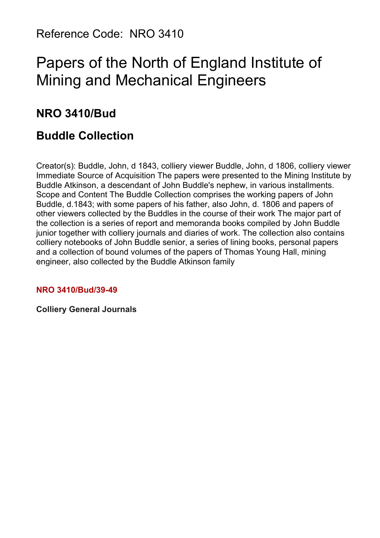Reference Code: NRO 3410

# Papers of the North of England Institute of Mining and Mechanical Engineers

# **NRO 3410/Bud**

# **Buddle Collection**

Creator(s): Buddle, John, d 1843, colliery viewer Buddle, John, d 1806, colliery viewer Immediate Source of Acquisition The papers were presented to the Mining Institute by Buddle Atkinson, a descendant of John Buddle's nephew, in various installments. Scope and Content The Buddle Collection comprises the working papers of John Buddle, d.1843; with some papers of his father, also John, d. 1806 and papers of other viewers collected by the Buddles in the course of their work The major part of the collection is a series of report and memoranda books compiled by John Buddle junior together with colliery journals and diaries of work. The collection also contains colliery notebooks of John Buddle senior, a series of lining books, personal papers and a collection of bound volumes of the papers of Thomas Young Hall, mining engineer, also collected by the Buddle Atkinson family

#### **NRO 3410/Bud/39-49**

**Colliery General Journals**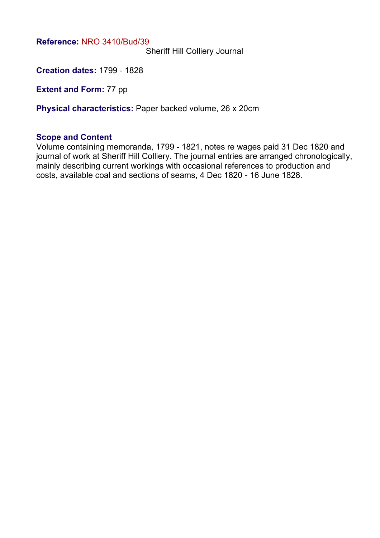Sheriff Hill Colliery Journal

**Creation dates:** 1799 - 1828

**Extent and Form: 77 pp** 

**Physical characteristics:** Paper backed volume, 26 x 20cm

#### **Scope and Content**

Volume containing memoranda, 1799 - 1821, notes re wages paid 31 Dec 1820 and journal of work at Sheriff Hill Colliery. The journal entries are arranged chronologically, mainly describing current workings with occasional references to production and costs, available coal and sections of seams, 4 Dec 1820 - 16 June 1828.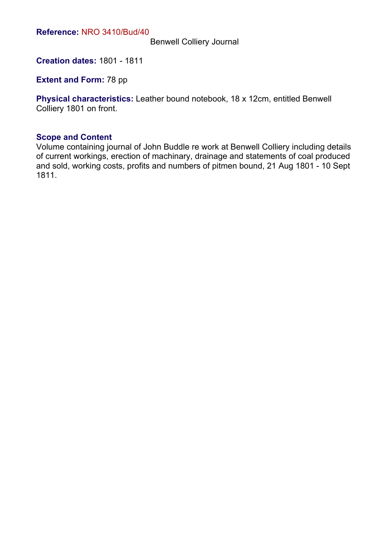Benwell Colliery Journal

**Creation dates:** 1801 - 1811

**Extent and Form: 78 pp** 

**Physical characteristics:** Leather bound notebook, 18 x 12cm, entitled Benwell Colliery 1801 on front.

#### **Scope and Content**

Volume containing journal of John Buddle re work at Benwell Colliery including details of current workings, erection of machinary, drainage and statements of coal produced and sold, working costs, profits and numbers of pitmen bound, 21 Aug 1801 - 10 Sept 1811.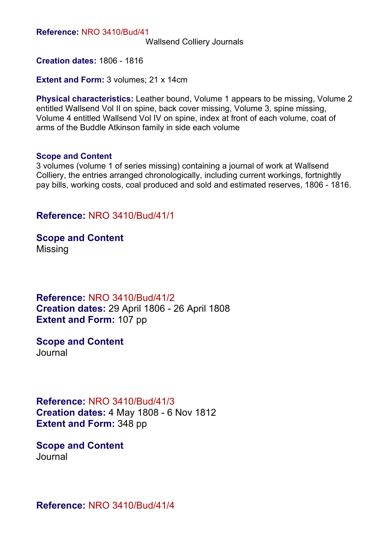Wallsend Colliery Journals

**Creation dates:** 1806 - 1816

**Extent and Form: 3 volumes; 21 x 14cm** 

**Physical characteristics:** Leather bound, Volume 1 appears to be missing, Volume 2 entitled Wallsend Vol II on spine, back cover missing, Volume 3, spine missing, Volume 4 entitled Wallsend Vol IV on spine, index at front of each volume, coat of arms of the Buddle Atkinson family in side each volume

#### **Scope and Content**

3 volumes (volume 1 of series missing) containing a journal of work at Wallsend Colliery, the entries arranged chronologically, including current workings, fortnightly pay bills, working costs, coal produced and sold and estimated reserves, 1806 - 1816.

#### **Reference:** NRO 3410/Bud/41/1

**Scope and Content** Missing

**Reference:** NRO 3410/Bud/41/2 **Creation dates:** 29 April 1806 - 26 April 1808 **Extent and Form:** 107 pp

**Scope and Content** Journal

**Reference:** NRO 3410/Bud/41/3 **Creation dates:** 4 May 1808 - 6 Nov 1812 **Extent and Form:** 348 pp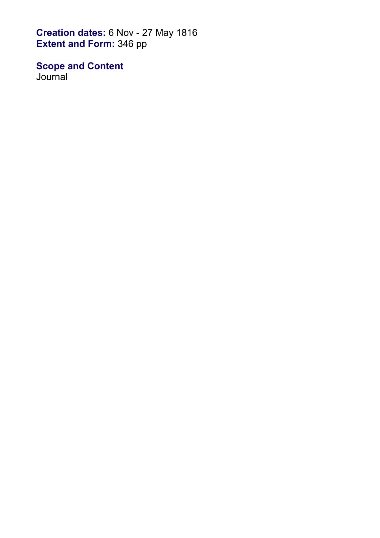**Creation dates:** 6 Nov - 27 May 1816 **Extent and Form:** 346 pp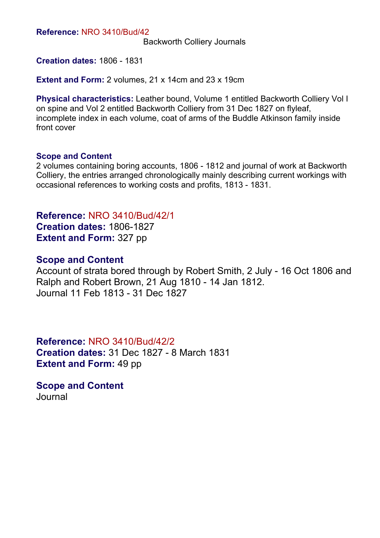Backworth Colliery Journals

**Creation dates:** 1806 - 1831

**Extent and Form:** 2 volumes, 21 x 14cm and 23 x 19cm

**Physical characteristics:** Leather bound, Volume 1 entitled Backworth Colliery Vol I on spine and Vol 2 entitled Backworth Colliery from 31 Dec 1827 on flyleaf, incomplete index in each volume, coat of arms of the Buddle Atkinson family inside front cover

#### **Scope and Content**

2 volumes containing boring accounts, 1806 - 1812 and journal of work at Backworth Colliery, the entries arranged chronologically mainly describing current workings with occasional references to working costs and profits, 1813 - 1831.

**Reference:** NRO 3410/Bud/42/1 **Creation dates:** 1806-1827 **Extent and Form:** 327 pp

#### **Scope and Content**

Account of strata bored through by Robert Smith, 2 July - 16 Oct 1806 and Ralph and Robert Brown, 21 Aug 1810 - 14 Jan 1812. Journal 11 Feb 1813 - 31 Dec 1827

**Reference:** NRO 3410/Bud/42/2 **Creation dates:** 31 Dec 1827 - 8 March 1831 **Extent and Form:** 49 pp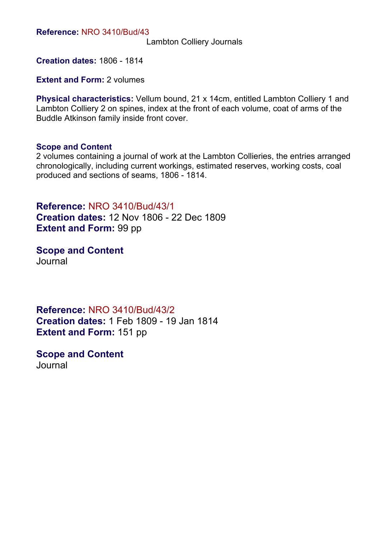Lambton Colliery Journals

**Creation dates:** 1806 - 1814

**Extent and Form: 2 volumes** 

**Physical characteristics:** Vellum bound, 21 x 14cm, entitled Lambton Colliery 1 and Lambton Colliery 2 on spines, index at the front of each volume, coat of arms of the Buddle Atkinson family inside front cover.

#### **Scope and Content**

2 volumes containing a journal of work at the Lambton Collieries, the entries arranged chronologically, including current workings, estimated reserves, working costs, coal produced and sections of seams, 1806 - 1814.

**Reference:** NRO 3410/Bud/43/1 **Creation dates:** 12 Nov 1806 - 22 Dec 1809 **Extent and Form: 99 pp** 

**Scope and Content** Journal

**Reference:** NRO 3410/Bud/43/2 **Creation dates:** 1 Feb 1809 - 19 Jan 1814 **Extent and Form:** 151 pp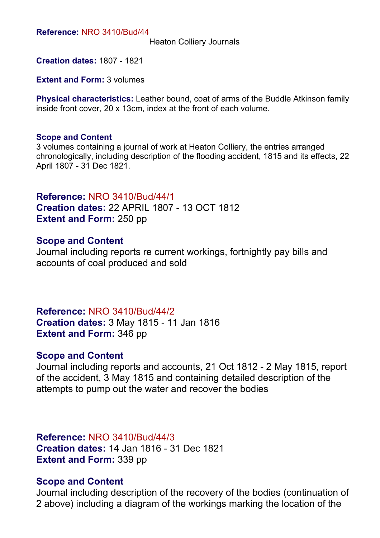Heaton Colliery Journals

**Creation dates:** 1807 - 1821

**Extent and Form: 3 volumes** 

**Physical characteristics:** Leather bound, coat of arms of the Buddle Atkinson family inside front cover, 20 x 13cm, index at the front of each volume.

#### **Scope and Content**

3 volumes containing a journal of work at Heaton Colliery, the entries arranged chronologically, including description of the flooding accident, 1815 and its effects, 22 April 1807 - 31 Dec 1821.

**Reference:** NRO 3410/Bud/44/1 **Creation dates:** 22 APRIL 1807 - 13 OCT 1812 **Extent and Form:** 250 pp

### **Scope and Content**

Journal including reports re current workings, fortnightly pay bills and accounts of coal produced and sold

**Reference:** NRO 3410/Bud/44/2 **Creation dates:** 3 May 1815 - 11 Jan 1816 **Extent and Form:** 346 pp

## **Scope and Content**

Journal including reports and accounts, 21 Oct 1812 - 2 May 1815, report of the accident, 3 May 1815 and containing detailed description of the attempts to pump out the water and recover the bodies

**Reference:** NRO 3410/Bud/44/3 **Creation dates:** 14 Jan 1816 - 31 Dec 1821 **Extent and Form:** 339 pp

#### **Scope and Content**

Journal including description of the recovery of the bodies (continuation of 2 above) including a diagram of the workings marking the location of the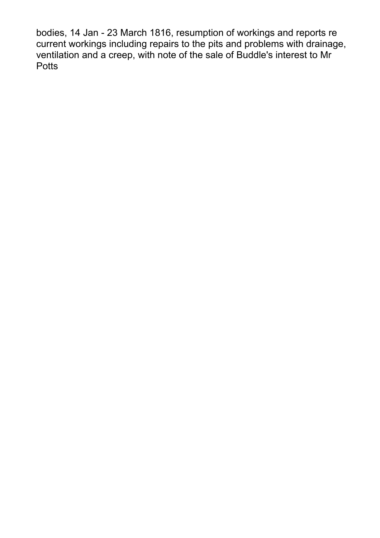bodies, 14 Jan - 23 March 1816, resumption of workings and reports re current workings including repairs to the pits and problems with drainage, ventilation and a creep, with note of the sale of Buddle's interest to Mr **Potts**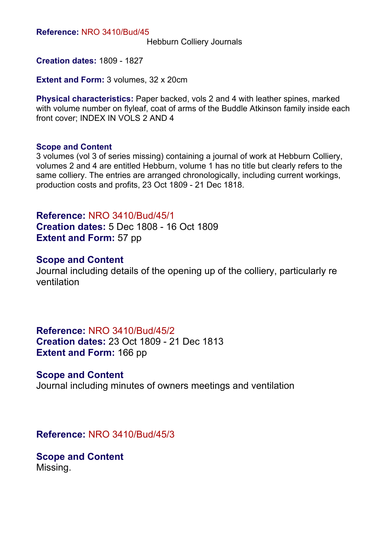Hebburn Colliery Journals

**Creation dates:** 1809 - 1827

**Extent and Form: 3 volumes, 32 x 20cm** 

**Physical characteristics:** Paper backed, vols 2 and 4 with leather spines, marked with volume number on flyleaf, coat of arms of the Buddle Atkinson family inside each front cover; INDEX IN VOLS 2 AND 4

#### **Scope and Content**

3 volumes (vol 3 of series missing) containing a journal of work at Hebburn Colliery, volumes 2 and 4 are entitled Hebburn, volume 1 has no title but clearly refers to the same colliery. The entries are arranged chronologically, including current workings, production costs and profits, 23 Oct 1809 - 21 Dec 1818.

**Reference:** NRO 3410/Bud/45/1 **Creation dates:** 5 Dec 1808 - 16 Oct 1809 **Extent and Form: 57 pp** 

#### **Scope and Content**

Journal including details of the opening up of the colliery, particularly re ventilation

## **Reference:** NRO 3410/Bud/45/2

**Creation dates:** 23 Oct 1809 - 21 Dec 1813 **Extent and Form:** 166 pp

#### **Scope and Content**

Journal including minutes of owners meetings and ventilation

**Reference:** NRO 3410/Bud/45/3

**Scope and Content** Missing.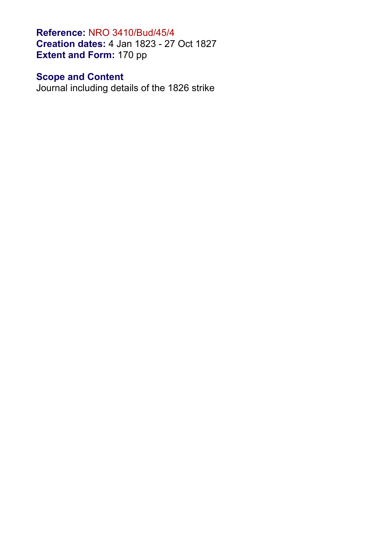**Reference:** NRO 3410/Bud/45/4 **Creation dates:** 4 Jan 1823 - 27 Oct 1827 **Extent and Form:** 170 pp

# **Scope and Content**

Journal including details of the 1826 strike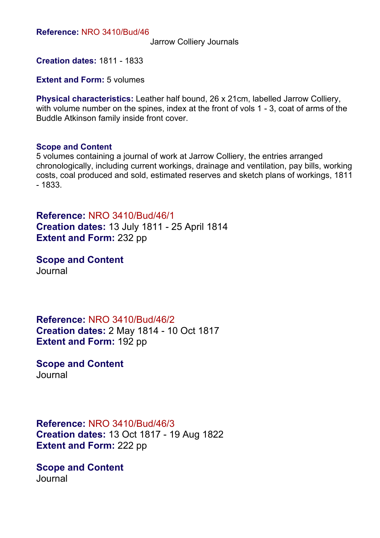Jarrow Colliery Journals

**Creation dates:** 1811 - 1833

**Extent and Form: 5 volumes** 

**Physical characteristics:** Leather half bound, 26 x 21cm, labelled Jarrow Colliery, with volume number on the spines, index at the front of vols 1 - 3, coat of arms of the Buddle Atkinson family inside front cover.

#### **Scope and Content**

5 volumes containing a journal of work at Jarrow Colliery, the entries arranged chronologically, including current workings, drainage and ventilation, pay bills, working costs, coal produced and sold, estimated reserves and sketch plans of workings, 1811 - 1833.

**Reference:** NRO 3410/Bud/46/1 **Creation dates:** 13 July 1811 - 25 April 1814 **Extent and Form:** 232 pp

**Scope and Content** Journal

**Reference:** NRO 3410/Bud/46/2 **Creation dates:** 2 May 1814 - 10 Oct 1817 **Extent and Form:** 192 pp

**Scope and Content** Journal

**Reference:** NRO 3410/Bud/46/3 **Creation dates:** 13 Oct 1817 - 19 Aug 1822 **Extent and Form:** 222 pp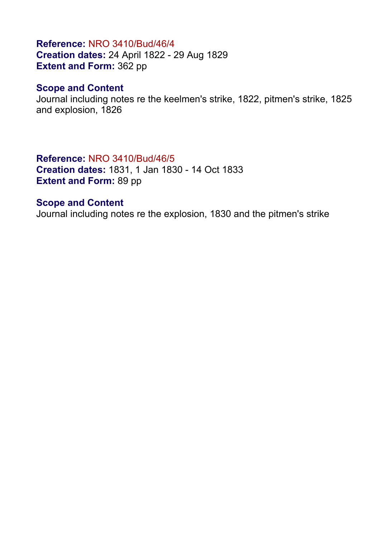# **Reference:** NRO 3410/Bud/46/4 **Creation dates:** 24 April 1822 - 29 Aug 1829 **Extent and Form:** 362 pp

# **Scope and Content**

Journal including notes re the keelmen's strike, 1822, pitmen's strike, 1825 and explosion, 1826

## **Reference:** NRO 3410/Bud/46/5

**Creation dates:** 1831, 1 Jan 1830 - 14 Oct 1833 **Extent and Form:** 89 pp

## **Scope and Content**

Journal including notes re the explosion, 1830 and the pitmen's strike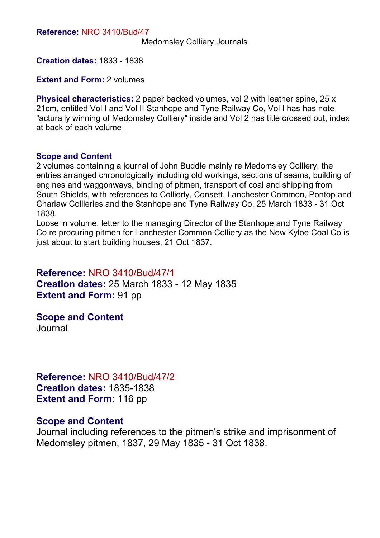Medomsley Colliery Journals

**Creation dates:** 1833 - 1838

**Extent and Form: 2 volumes** 

**Physical characteristics:** 2 paper backed volumes, vol 2 with leather spine, 25 x 21cm, entitled Vol I and Vol II Stanhope and Tyne Railway Co, Vol I has has note "acturally winning of Medomsley Colliery" inside and Vol 2 has title crossed out, index at back of each volume

#### **Scope and Content**

2 volumes containing a journal of John Buddle mainly re Medomsley Colliery, the entries arranged chronologically including old workings, sections of seams, building of engines and waggonways, binding of pitmen, transport of coal and shipping from South Shields, with references to Collierly, Consett, Lanchester Common, Pontop and Charlaw Collieries and the Stanhope and Tyne Railway Co, 25 March 1833 - 31 Oct 1838.

Loose in volume, letter to the managing Director of the Stanhope and Tyne Railway Co re procuring pitmen for Lanchester Common Colliery as the New Kyloe Coal Co is just about to start building houses, 21 Oct 1837.

#### **Reference:** NRO 3410/Bud/47/1

**Creation dates:** 25 March 1833 - 12 May 1835 **Extent and Form:** 91 pp

**Scope and Content** Journal

**Reference:** NRO 3410/Bud/47/2 **Creation dates:** 1835-1838 **Extent and Form:** 116 pp

#### **Scope and Content**

Journal including references to the pitmen's strike and imprisonment of Medomsley pitmen, 1837, 29 May 1835 - 31 Oct 1838.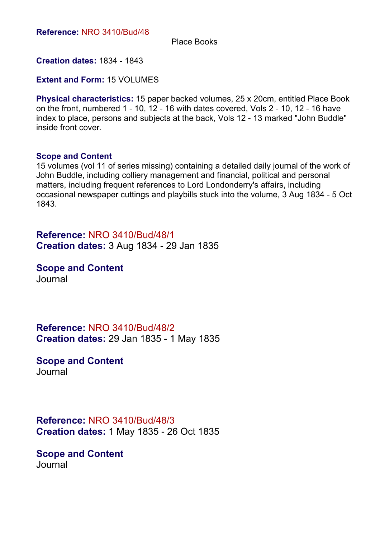Place Books

**Creation dates:** 1834 - 1843

**Extent and Form:** 15 VOLUMES

**Physical characteristics:** 15 paper backed volumes, 25 x 20cm, entitled Place Book on the front, numbered 1 - 10, 12 - 16 with dates covered, Vols 2 - 10, 12 - 16 have index to place, persons and subjects at the back, Vols 12 - 13 marked "John Buddle" inside front cover.

#### **Scope and Content**

15 volumes (vol 11 of series missing) containing a detailed daily journal of the work of John Buddle, including colliery management and financial, political and personal matters, including frequent references to Lord Londonderry's affairs, including occasional newspaper cuttings and playbills stuck into the volume, 3 Aug 1834 - 5 Oct 1843.

**Reference:** NRO 3410/Bud/48/1 **Creation dates:** 3 Aug 1834 - 29 Jan 1835

**Scope and Content** Journal

**Reference:** NRO 3410/Bud/48/2 **Creation dates:** 29 Jan 1835 - 1 May 1835

**Scope and Content** Journal

**Reference:** NRO 3410/Bud/48/3 **Creation dates:** 1 May 1835 - 26 Oct 1835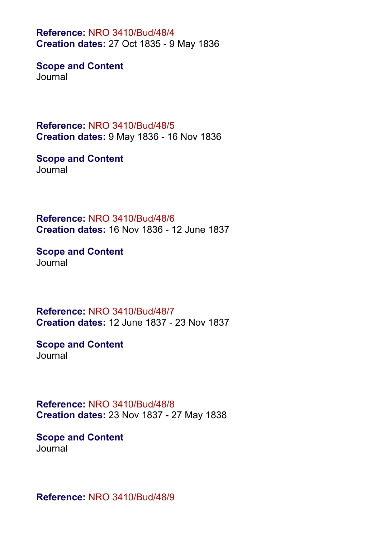**Reference:** NRO 3410/Bud/48/4 **Creation dates:** 27 Oct 1835 - 9 May 1836

**Scope and Content Journal** 

**Reference:** NRO 3410/Bud/48/5 **Creation dates:** 9 May 1836 - 16 Nov 1836

**Scope and Content Journal** 

**Reference:** NRO 3410/Bud/48/6 **Creation dates:** 16 Nov 1836 - 12 June 1837

**Scope and Content** Journal

**Reference:** NRO 3410/Bud/48/7 **Creation dates:** 12 June 1837 - 23 Nov 1837

**Scope and Content** Journal

**Reference:** NRO 3410/Bud/48/8 **Creation dates:** 23 Nov 1837 - 27 May 1838

**Scope and Content Journal** 

**Reference:** NRO 3410/Bud/48/9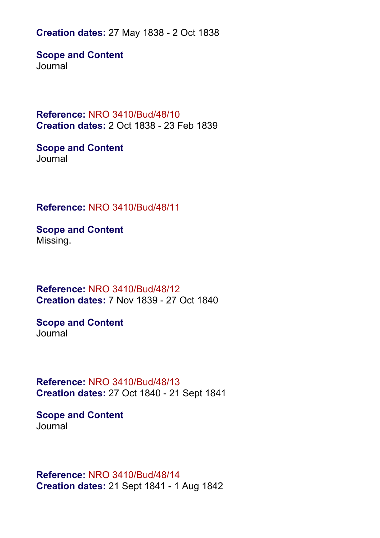**Creation dates:** 27 May 1838 - 2 Oct 1838

**Scope and Content Journal** 

**Reference:** NRO 3410/Bud/48/10 **Creation dates:** 2 Oct 1838 - 23 Feb 1839

**Scope and Content** Journal

**Reference:** NRO 3410/Bud/48/11

**Scope and Content** Missing.

**Reference:** NRO 3410/Bud/48/12 **Creation dates:** 7 Nov 1839 - 27 Oct 1840

**Scope and Content** Journal

**Reference:** NRO 3410/Bud/48/13 **Creation dates:** 27 Oct 1840 - 21 Sept 1841

**Scope and Content** Journal

**Reference:** NRO 3410/Bud/48/14 **Creation dates:** 21 Sept 1841 - 1 Aug 1842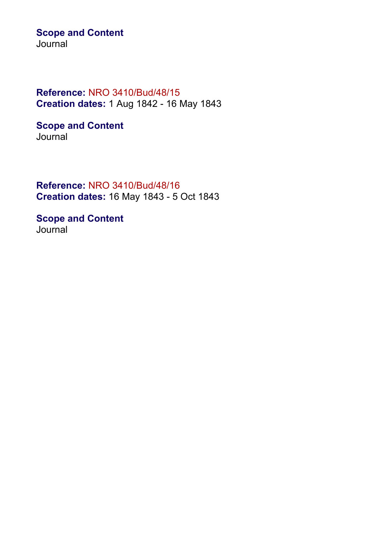# **Scope and Content**

Journal

# **Reference:** NRO 3410/Bud/48/15 **Creation dates:** 1 Aug 1842 - 16 May 1843

**Scope and Content** Journal

**Reference:** NRO 3410/Bud/48/16 **Creation dates:** 16 May 1843 - 5 Oct 1843